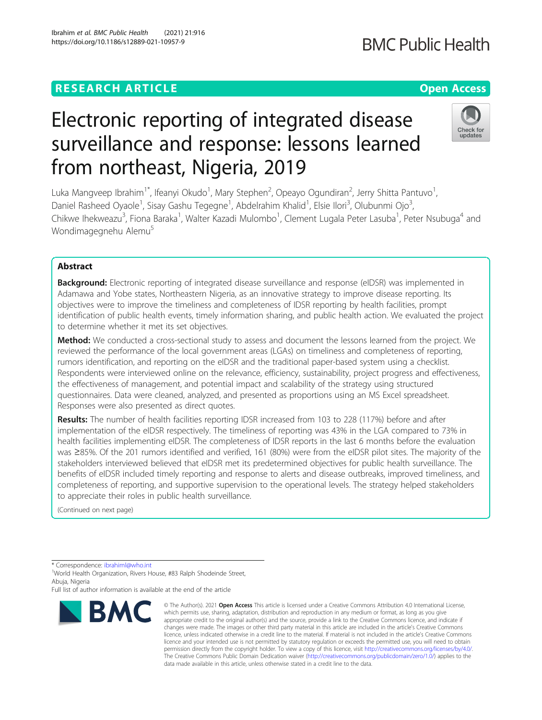# **RESEARCH ARTICLE Example 2014 12:30 The Contract of Contract ACCESS**

# Electronic reporting of integrated disease surveillance and response: lessons learned from northeast, Nigeria, 2019

Luka Mangveep Ibrahim<sup>1\*</sup>, Ifeanyi Okudo<sup>1</sup>, Mary Stephen<sup>2</sup>, Opeayo Ogundiran<sup>2</sup>, Jerry Shitta Pantuvo<sup>1</sup> , Daniel Rasheed Oyaole<sup>1</sup>, Sisay Gashu Tegegne<sup>1</sup>, Abdelrahim Khalid<sup>1</sup>, Elsie Ilori<sup>3</sup>, Olubunmi Ojo<sup>3</sup> , Chikwe Ihekweazu<sup>3</sup>, Fiona Baraka<sup>1</sup>, Walter Kazadi Mulombo<sup>1</sup>, Clement Lugala Peter Lasuba<sup>1</sup>, Peter Nsubuga<sup>4</sup> and Wondimagegnehu Alemu<sup>5</sup>

# Abstract

Background: Electronic reporting of integrated disease surveillance and response (eIDSR) was implemented in Adamawa and Yobe states, Northeastern Nigeria, as an innovative strategy to improve disease reporting. Its objectives were to improve the timeliness and completeness of IDSR reporting by health facilities, prompt identification of public health events, timely information sharing, and public health action. We evaluated the project to determine whether it met its set objectives.

**Method:** We conducted a cross-sectional study to assess and document the lessons learned from the project. We reviewed the performance of the local government areas (LGAs) on timeliness and completeness of reporting, rumors identification, and reporting on the eIDSR and the traditional paper-based system using a checklist. Respondents were interviewed online on the relevance, efficiency, sustainability, project progress and effectiveness, the effectiveness of management, and potential impact and scalability of the strategy using structured questionnaires. Data were cleaned, analyzed, and presented as proportions using an MS Excel spreadsheet. Responses were also presented as direct quotes.

Results: The number of health facilities reporting IDSR increased from 103 to 228 (117%) before and after implementation of the eIDSR respectively. The timeliness of reporting was 43% in the LGA compared to 73% in health facilities implementing eIDSR. The completeness of IDSR reports in the last 6 months before the evaluation was ≥85%. Of the 201 rumors identified and verified, 161 (80%) were from the eIDSR pilot sites. The majority of the stakeholders interviewed believed that eIDSR met its predetermined objectives for public health surveillance. The benefits of eIDSR included timely reporting and response to alerts and disease outbreaks, improved timeliness, and completeness of reporting, and supportive supervision to the operational levels. The strategy helped stakeholders to appreciate their roles in public health surveillance.

(Continued on next page)

\* Correspondence: [ibrahiml@who.int](mailto:ibrahiml@who.int)

**BMC** 

<sup>1</sup>World Health Organization, Rivers House, #83 Ralph Shodeinde Street, Abuja, Nigeria

© The Author(s), 2021 **Open Access** This article is licensed under a Creative Commons Attribution 4.0 International License, which permits use, sharing, adaptation, distribution and reproduction in any medium or format, as long as you give







Full list of author information is available at the end of the article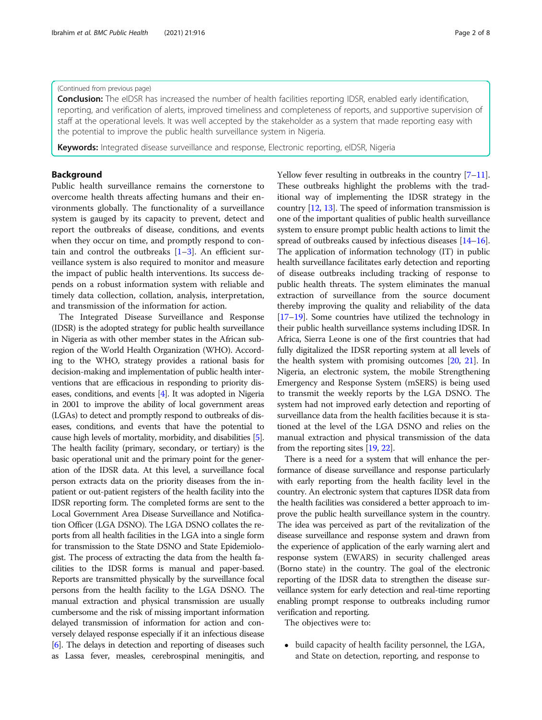#### (Continued from previous page)

Conclusion: The eIDSR has increased the number of health facilities reporting IDSR, enabled early identification, reporting, and verification of alerts, improved timeliness and completeness of reports, and supportive supervision of staff at the operational levels. It was well accepted by the stakeholder as a system that made reporting easy with the potential to improve the public health surveillance system in Nigeria.

Keywords: Integrated disease surveillance and response, Electronic reporting, eIDSR, Nigeria

#### Background

Public health surveillance remains the cornerstone to overcome health threats affecting humans and their environments globally. The functionality of a surveillance system is gauged by its capacity to prevent, detect and report the outbreaks of disease, conditions, and events when they occur on time, and promptly respond to contain and control the outbreaks  $[1-3]$  $[1-3]$  $[1-3]$  $[1-3]$ . An efficient surveillance system is also required to monitor and measure the impact of public health interventions. Its success depends on a robust information system with reliable and timely data collection, collation, analysis, interpretation, and transmission of the information for action.

The Integrated Disease Surveillance and Response (IDSR) is the adopted strategy for public health surveillance in Nigeria as with other member states in the African subregion of the World Health Organization (WHO). According to the WHO, strategy provides a rational basis for decision-making and implementation of public health interventions that are efficacious in responding to priority diseases, conditions, and events [\[4](#page-7-0)]. It was adopted in Nigeria in 2001 to improve the ability of local government areas (LGAs) to detect and promptly respond to outbreaks of diseases, conditions, and events that have the potential to cause high levels of mortality, morbidity, and disabilities [[5](#page-7-0)]. The health facility (primary, secondary, or tertiary) is the basic operational unit and the primary point for the generation of the IDSR data. At this level, a surveillance focal person extracts data on the priority diseases from the inpatient or out-patient registers of the health facility into the IDSR reporting form. The completed forms are sent to the Local Government Area Disease Surveillance and Notification Officer (LGA DSNO). The LGA DSNO collates the reports from all health facilities in the LGA into a single form for transmission to the State DSNO and State Epidemiologist. The process of extracting the data from the health facilities to the IDSR forms is manual and paper-based. Reports are transmitted physically by the surveillance focal persons from the health facility to the LGA DSNO. The manual extraction and physical transmission are usually cumbersome and the risk of missing important information delayed transmission of information for action and conversely delayed response especially if it an infectious disease [[6](#page-7-0)]. The delays in detection and reporting of diseases such as Lassa fever, measles, cerebrospinal meningitis, and Yellow fever resulting in outbreaks in the country  $[7-11]$  $[7-11]$  $[7-11]$  $[7-11]$ . These outbreaks highlight the problems with the traditional way of implementing the IDSR strategy in the country [[12](#page-7-0), [13\]](#page-7-0). The speed of information transmission is one of the important qualities of public health surveillance system to ensure prompt public health actions to limit the spread of outbreaks caused by infectious diseases [\[14](#page-7-0)–[16](#page-7-0)]. The application of information technology (IT) in public health surveillance facilitates early detection and reporting of disease outbreaks including tracking of response to public health threats. The system eliminates the manual extraction of surveillance from the source document thereby improving the quality and reliability of the data [[17](#page-7-0)–[19\]](#page-7-0). Some countries have utilized the technology in their public health surveillance systems including IDSR. In Africa, Sierra Leone is one of the first countries that had fully digitalized the IDSR reporting system at all levels of the health system with promising outcomes [[20,](#page-7-0) [21](#page-7-0)]. In Nigeria, an electronic system, the mobile Strengthening Emergency and Response System (mSERS) is being used to transmit the weekly reports by the LGA DSNO. The system had not improved early detection and reporting of surveillance data from the health facilities because it is stationed at the level of the LGA DSNO and relies on the manual extraction and physical transmission of the data from the reporting sites [[19](#page-7-0), [22\]](#page-7-0).

There is a need for a system that will enhance the performance of disease surveillance and response particularly with early reporting from the health facility level in the country. An electronic system that captures IDSR data from the health facilities was considered a better approach to improve the public health surveillance system in the country. The idea was perceived as part of the revitalization of the disease surveillance and response system and drawn from the experience of application of the early warning alert and response system (EWARS) in security challenged areas (Borno state) in the country. The goal of the electronic reporting of the IDSR data to strengthen the disease surveillance system for early detection and real-time reporting enabling prompt response to outbreaks including rumor verification and reporting.

The objectives were to:

• build capacity of health facility personnel, the LGA, and State on detection, reporting, and response to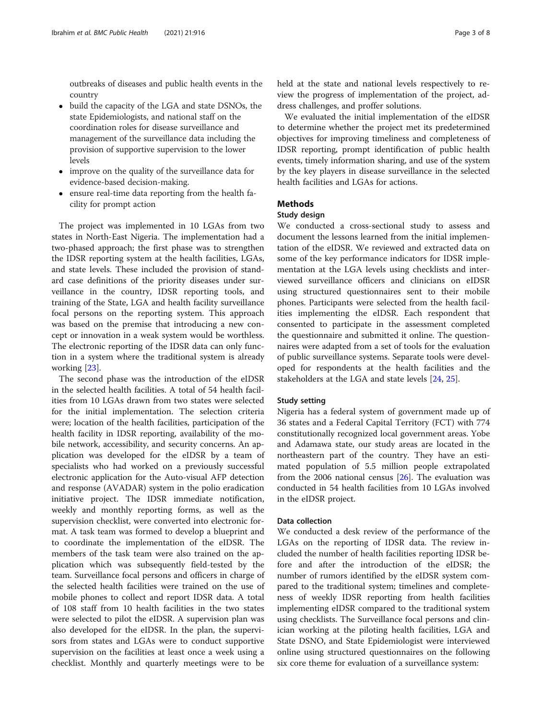outbreaks of diseases and public health events in the country

- build the capacity of the LGA and state DSNOs, the state Epidemiologists, and national staff on the coordination roles for disease surveillance and management of the surveillance data including the provision of supportive supervision to the lower levels
- improve on the quality of the surveillance data for evidence-based decision-making.
- ensure real-time data reporting from the health facility for prompt action

The project was implemented in 10 LGAs from two states in North-East Nigeria. The implementation had a two-phased approach; the first phase was to strengthen the IDSR reporting system at the health facilities, LGAs, and state levels. These included the provision of standard case definitions of the priority diseases under surveillance in the country, IDSR reporting tools, and training of the State, LGA and health facility surveillance focal persons on the reporting system. This approach was based on the premise that introducing a new concept or innovation in a weak system would be worthless. The electronic reporting of the IDSR data can only function in a system where the traditional system is already working [\[23\]](#page-7-0).

The second phase was the introduction of the eIDSR in the selected health facilities. A total of 54 health facilities from 10 LGAs drawn from two states were selected for the initial implementation. The selection criteria were; location of the health facilities, participation of the health facility in IDSR reporting, availability of the mobile network, accessibility, and security concerns. An application was developed for the eIDSR by a team of specialists who had worked on a previously successful electronic application for the Auto-visual AFP detection and response (AVADAR) system in the polio eradication initiative project. The IDSR immediate notification, weekly and monthly reporting forms, as well as the supervision checklist, were converted into electronic format. A task team was formed to develop a blueprint and to coordinate the implementation of the eIDSR. The members of the task team were also trained on the application which was subsequently field-tested by the team. Surveillance focal persons and officers in charge of the selected health facilities were trained on the use of mobile phones to collect and report IDSR data. A total of 108 staff from 10 health facilities in the two states were selected to pilot the eIDSR. A supervision plan was also developed for the eIDSR. In the plan, the supervisors from states and LGAs were to conduct supportive supervision on the facilities at least once a week using a checklist. Monthly and quarterly meetings were to be

held at the state and national levels respectively to review the progress of implementation of the project, address challenges, and proffer solutions.

We evaluated the initial implementation of the eIDSR to determine whether the project met its predetermined objectives for improving timeliness and completeness of IDSR reporting, prompt identification of public health events, timely information sharing, and use of the system by the key players in disease surveillance in the selected health facilities and LGAs for actions.

# Methods

# Study design

We conducted a cross-sectional study to assess and document the lessons learned from the initial implementation of the eIDSR. We reviewed and extracted data on some of the key performance indicators for IDSR implementation at the LGA levels using checklists and interviewed surveillance officers and clinicians on eIDSR using structured questionnaires sent to their mobile phones. Participants were selected from the health facilities implementing the eIDSR. Each respondent that consented to participate in the assessment completed the questionnaire and submitted it online. The questionnaires were adapted from a set of tools for the evaluation of public surveillance systems. Separate tools were developed for respondents at the health facilities and the stakeholders at the LGA and state levels [[24](#page-7-0), [25](#page-7-0)].

# Study setting

Nigeria has a federal system of government made up of 36 states and a Federal Capital Territory (FCT) with 774 constitutionally recognized local government areas. Yobe and Adamawa state, our study areas are located in the northeastern part of the country. They have an estimated population of 5.5 million people extrapolated from the 2006 national census  $[26]$ . The evaluation was conducted in 54 health facilities from 10 LGAs involved in the eIDSR project.

# Data collection

We conducted a desk review of the performance of the LGAs on the reporting of IDSR data. The review included the number of health facilities reporting IDSR before and after the introduction of the eIDSR; the number of rumors identified by the eIDSR system compared to the traditional system; timelines and completeness of weekly IDSR reporting from health facilities implementing eIDSR compared to the traditional system using checklists. The Surveillance focal persons and clinician working at the piloting health facilities, LGA and State DSNO, and State Epidemiologist were interviewed online using structured questionnaires on the following six core theme for evaluation of a surveillance system: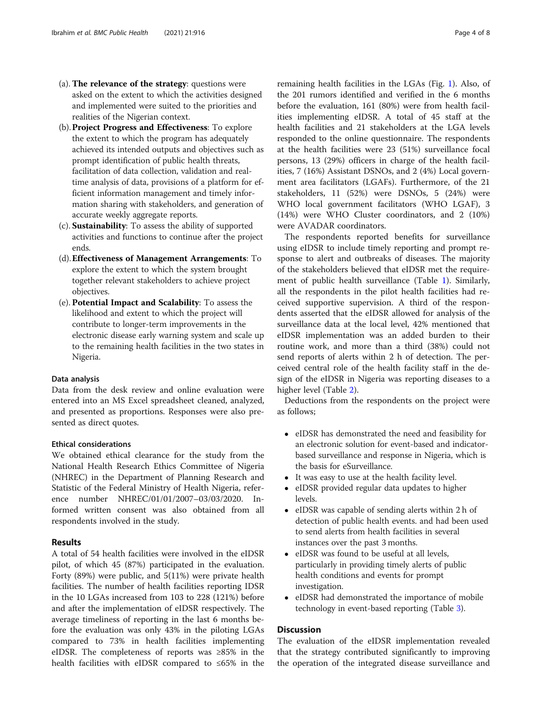- (a). The relevance of the strategy: questions were asked on the extent to which the activities designed and implemented were suited to the priorities and realities of the Nigerian context.
- (b).Project Progress and Effectiveness: To explore the extent to which the program has adequately achieved its intended outputs and objectives such as prompt identification of public health threats, facilitation of data collection, validation and realtime analysis of data, provisions of a platform for efficient information management and timely information sharing with stakeholders, and generation of accurate weekly aggregate reports.
- (c). Sustainability: To assess the ability of supported activities and functions to continue after the project ends.
- (d).Effectiveness of Management Arrangements: To explore the extent to which the system brought together relevant stakeholders to achieve project objectives.
- (e). Potential Impact and Scalability: To assess the likelihood and extent to which the project will contribute to longer-term improvements in the electronic disease early warning system and scale up to the remaining health facilities in the two states in Nigeria.

# Data analysis

Data from the desk review and online evaluation were entered into an MS Excel spreadsheet cleaned, analyzed, and presented as proportions. Responses were also presented as direct quotes.

#### Ethical considerations

We obtained ethical clearance for the study from the National Health Research Ethics Committee of Nigeria (NHREC) in the Department of Planning Research and Statistic of the Federal Ministry of Health Nigeria, reference number NHREC/01/01/2007–03/03/2020. Informed written consent was also obtained from all respondents involved in the study.

#### Results

A total of 54 health facilities were involved in the eIDSR pilot, of which 45 (87%) participated in the evaluation. Forty (89%) were public, and 5(11%) were private health facilities. The number of health facilities reporting IDSR in the 10 LGAs increased from 103 to 228 (121%) before and after the implementation of eIDSR respectively. The average timeliness of reporting in the last 6 months before the evaluation was only 43% in the piloting LGAs compared to 73% in health facilities implementing eIDSR. The completeness of reports was ≥85% in the health facilities with eIDSR compared to ≤65% in the remaining health facilities in the LGAs (Fig. [1](#page-4-0)). Also, of the 201 rumors identified and verified in the 6 months before the evaluation, 161 (80%) were from health facilities implementing eIDSR. A total of 45 staff at the health facilities and 21 stakeholders at the LGA levels responded to the online questionnaire. The respondents at the health facilities were 23 (51%) surveillance focal persons, 13 (29%) officers in charge of the health facilities, 7 (16%) Assistant DSNOs, and 2 (4%) Local government area facilitators (LGAFs). Furthermore, of the 21 stakeholders, 11 (52%) were DSNOs, 5 (24%) were WHO local government facilitators (WHO LGAF), 3 (14%) were WHO Cluster coordinators, and 2 (10%) were AVADAR coordinators.

The respondents reported benefits for surveillance using eIDSR to include timely reporting and prompt response to alert and outbreaks of diseases. The majority of the stakeholders believed that eIDSR met the requirement of public health surveillance (Table [1\)](#page-4-0). Similarly, all the respondents in the pilot health facilities had received supportive supervision. A third of the respondents asserted that the eIDSR allowed for analysis of the surveillance data at the local level, 42% mentioned that eIDSR implementation was an added burden to their routine work, and more than a third (38%) could not send reports of alerts within 2 h of detection. The perceived central role of the health facility staff in the design of the eIDSR in Nigeria was reporting diseases to a higher level (Table [2](#page-5-0)).

Deductions from the respondents on the project were as follows;

- eIDSR has demonstrated the need and feasibility for an electronic solution for event-based and indicatorbased surveillance and response in Nigeria, which is the basis for eSurveillance.
- It was easy to use at the health facility level.
- eIDSR provided regular data updates to higher levels.
- eIDSR was capable of sending alerts within 2 h of detection of public health events. and had been used to send alerts from health facilities in several instances over the past 3 months.
- eIDSR was found to be useful at all levels, particularly in providing timely alerts of public health conditions and events for prompt investigation.
- eIDSR had demonstrated the importance of mobile technology in event-based reporting (Table [3](#page-5-0)).

# Discussion

The evaluation of the eIDSR implementation revealed that the strategy contributed significantly to improving the operation of the integrated disease surveillance and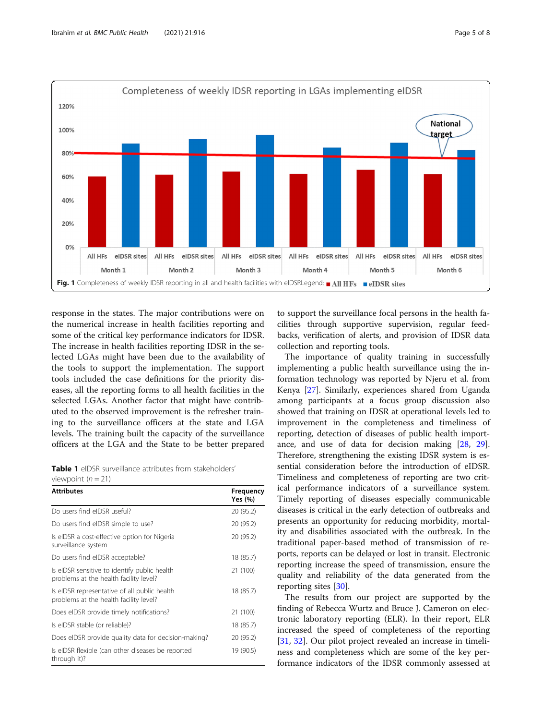<span id="page-4-0"></span>

response in the states. The major contributions were on the numerical increase in health facilities reporting and some of the critical key performance indicators for IDSR. The increase in health facilities reporting IDSR in the selected LGAs might have been due to the availability of the tools to support the implementation. The support tools included the case definitions for the priority diseases, all the reporting forms to all health facilities in the selected LGAs. Another factor that might have contributed to the observed improvement is the refresher training to the surveillance officers at the state and LGA levels. The training built the capacity of the surveillance officers at the LGA and the State to be better prepared

Table 1 eIDSR surveillance attributes from stakeholders' viewpoint  $(n = 21)$ 

| <b>Attributes</b>                                                                      | Frequency<br>Yes (%) |
|----------------------------------------------------------------------------------------|----------------------|
| Do users find eIDSR useful?                                                            | 20 (95.2)            |
| Do users find eIDSR simple to use?                                                     | 20 (95.2)            |
| Is eIDSR a cost-effective option for Nigeria<br>surveillance system                    | 20 (95.2)            |
| Do users find eIDSR acceptable?                                                        | 18 (85.7)            |
| Is eIDSR sensitive to identify public health<br>problems at the health facility level? | 21 (100)             |
| Is eIDSR representative of all public health<br>problems at the health facility level? | 18 (85.7)            |
| Does eIDSR provide timely notifications?                                               | 21 (100)             |
| Is eIDSR stable (or reliable)?                                                         | 18 (85.7)            |
| Does eIDSR provide quality data for decision-making?                                   | 20 (95.2)            |
| Is eIDSR flexible (can other diseases be reported<br>through it)?                      | 19 (90.5)            |

to support the surveillance focal persons in the health facilities through supportive supervision, regular feedbacks, verification of alerts, and provision of IDSR data collection and reporting tools.

The importance of quality training in successfully implementing a public health surveillance using the information technology was reported by Njeru et al. from Kenya [[27](#page-7-0)]. Similarly, experiences shared from Uganda among participants at a focus group discussion also showed that training on IDSR at operational levels led to improvement in the completeness and timeliness of reporting, detection of diseases of public health importance, and use of data for decision making [\[28](#page-7-0), [29](#page-7-0)]. Therefore, strengthening the existing IDSR system is essential consideration before the introduction of eIDSR. Timeliness and completeness of reporting are two critical performance indicators of a surveillance system. Timely reporting of diseases especially communicable diseases is critical in the early detection of outbreaks and presents an opportunity for reducing morbidity, mortality and disabilities associated with the outbreak. In the traditional paper-based method of transmission of reports, reports can be delayed or lost in transit. Electronic reporting increase the speed of transmission, ensure the quality and reliability of the data generated from the reporting sites [\[30](#page-7-0)].

The results from our project are supported by the finding of Rebecca Wurtz and Bruce J. Cameron on electronic laboratory reporting (ELR). In their report, ELR increased the speed of completeness of the reporting [[31,](#page-7-0) [32\]](#page-7-0). Our pilot project revealed an increase in timeliness and completeness which are some of the key performance indicators of the IDSR commonly assessed at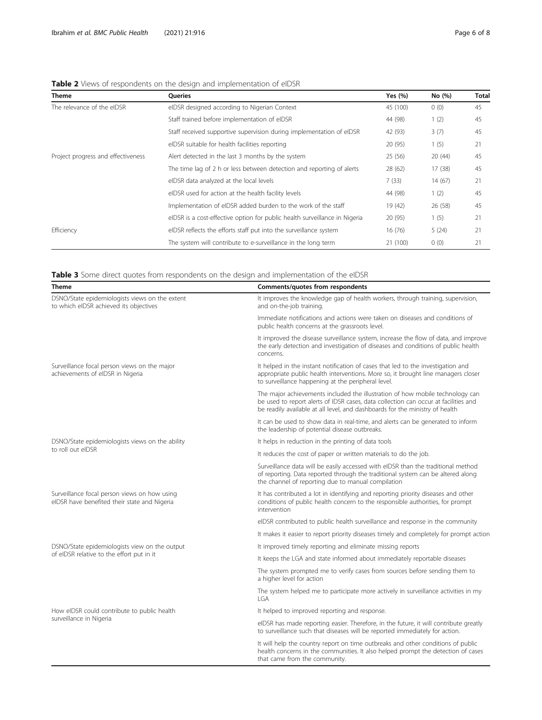# <span id="page-5-0"></span>Table 2 Views of respondents on the design and implementation of eIDSR

| <b>Theme</b>                       | Queries                                                                    | Yes $(%)$ | No (%)  | Total |
|------------------------------------|----------------------------------------------------------------------------|-----------|---------|-------|
| The relevance of the eIDSR         | eIDSR designed according to Nigerian Context                               | 45 (100)  | 0(0)    | 45    |
|                                    | Staff trained before implementation of eIDSR                               | 44 (98)   | 1(2)    | 45    |
|                                    | Staff received supportive supervision during implementation of eIDSR       | 42 (93)   | 3(7)    | 45    |
|                                    | eIDSR suitable for health facilities reporting                             | 20 (95)   | 1(5)    | 21    |
| Project progress and effectiveness | Alert detected in the last 3 months by the system                          | 25(56)    | 20(44)  | 45    |
|                                    | The time lag of 2 h or less between detection and reporting of alerts      | 28 (62)   | 17 (38) | 45    |
|                                    | eIDSR data analyzed at the local levels                                    | 7(33)     | 14(67)  | 21    |
|                                    | eIDSR used for action at the health facility levels                        | 44 (98)   | 1(2)    | 45    |
|                                    | Implementation of eIDSR added burden to the work of the staff              | 19 (42)   | 26 (58) | 45    |
|                                    | eIDSR is a cost-effective option for public health surveillance in Nigeria | 20 (95)   | 1(5)    | 21    |
| Efficiency                         | eIDSR reflects the efforts staff put into the surveillance system          | 16(76)    | 5(24)   | 21    |
|                                    | The system will contribute to e-surveillance in the long term              | 21 (100)  | 0(0)    | 21    |

| <b>Table 3</b> Some direct quotes from respondents on the design and implementation of the eIDSR |  |  |
|--------------------------------------------------------------------------------------------------|--|--|
|                                                                                                  |  |  |

| Theme                                                                                        | Comments/quotes from respondents                                                                                                                                                                                                                     |  |
|----------------------------------------------------------------------------------------------|------------------------------------------------------------------------------------------------------------------------------------------------------------------------------------------------------------------------------------------------------|--|
| DSNO/State epidemiologists views on the extent<br>to which eIDSR achieved its objectives     | It improves the knowledge gap of health workers, through training, supervision,<br>and on-the-job training.                                                                                                                                          |  |
|                                                                                              | Immediate notifications and actions were taken on diseases and conditions of<br>public health concerns at the grassroots level.                                                                                                                      |  |
|                                                                                              | It improved the disease surveillance system, increase the flow of data, and improve<br>the early detection and investigation of diseases and conditions of public health<br>concerns.                                                                |  |
| Surveillance focal person views on the major<br>achievements of eIDSR in Nigeria             | It helped in the instant notification of cases that led to the investigation and<br>appropriate public health interventions. More so, it brought line managers closer<br>to surveillance happening at the peripheral level.                          |  |
|                                                                                              | The major achievements included the illustration of how mobile technology can<br>be used to report alerts of IDSR cases, data collection can occur at facilities and<br>be readily available at all level, and dashboards for the ministry of health |  |
|                                                                                              | It can be used to show data in real-time, and alerts can be generated to inform<br>the leadership of potential disease outbreaks.                                                                                                                    |  |
| DSNO/State epidemiologists views on the ability<br>to roll out eIDSR                         | It helps in reduction in the printing of data tools                                                                                                                                                                                                  |  |
|                                                                                              | It reduces the cost of paper or written materials to do the job.                                                                                                                                                                                     |  |
|                                                                                              | Surveillance data will be easily accessed with eIDSR than the traditional method<br>of reporting. Data reported through the traditional system can be altered along<br>the channel of reporting due to manual compilation                            |  |
| Surveillance focal person views on how using<br>eIDSR have benefited their state and Nigeria | It has contributed a lot in identifying and reporting priority diseases and other<br>conditions of public health concern to the responsible authorities, for prompt<br>intervention                                                                  |  |
|                                                                                              | elDSR contributed to public health surveillance and response in the community                                                                                                                                                                        |  |
|                                                                                              | It makes it easier to report priority diseases timely and completely for prompt action                                                                                                                                                               |  |
| DSNO/State epidemiologists view on the output                                                | It improved timely reporting and eliminate missing reports                                                                                                                                                                                           |  |
| of eIDSR relative to the effort put in it                                                    | It keeps the LGA and state informed about immediately reportable diseases                                                                                                                                                                            |  |
|                                                                                              | The system prompted me to verify cases from sources before sending them to<br>a higher level for action                                                                                                                                              |  |
|                                                                                              | The system helped me to participate more actively in surveillance activities in my<br>LGA                                                                                                                                                            |  |
| How eIDSR could contribute to public health<br>surveillance in Nigeria                       | It helped to improved reporting and response.                                                                                                                                                                                                        |  |
|                                                                                              | eIDSR has made reporting easier. Therefore, in the future, it will contribute greatly<br>to surveillance such that diseases will be reported immediately for action.                                                                                 |  |
|                                                                                              | It will help the country report on time outbreaks and other conditions of public<br>health concerns in the communities. It also helped prompt the detection of cases<br>that came from the community.                                                |  |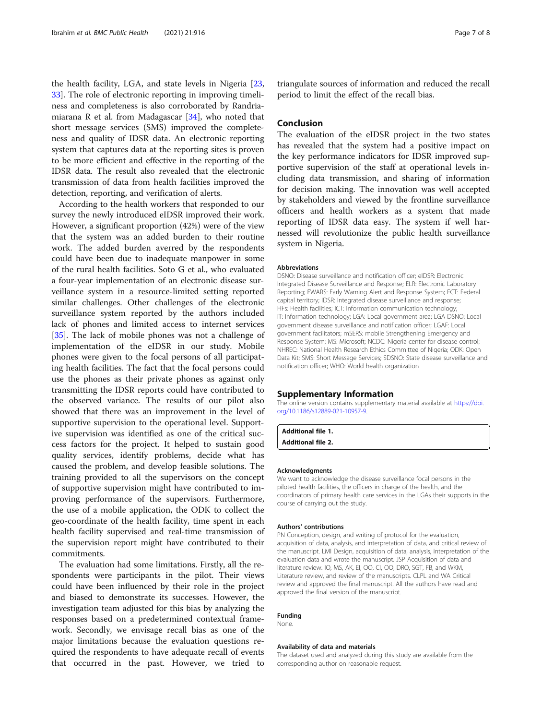the health facility, LGA, and state levels in Nigeria [[23](#page-7-0), [33\]](#page-7-0). The role of electronic reporting in improving timeliness and completeness is also corroborated by Randriamiarana R et al. from Madagascar [\[34\]](#page-7-0), who noted that short message services (SMS) improved the completeness and quality of IDSR data. An electronic reporting system that captures data at the reporting sites is proven to be more efficient and effective in the reporting of the IDSR data. The result also revealed that the electronic transmission of data from health facilities improved the detection, reporting, and verification of alerts.

According to the health workers that responded to our survey the newly introduced eIDSR improved their work. However, a significant proportion (42%) were of the view that the system was an added burden to their routine work. The added burden averred by the respondents could have been due to inadequate manpower in some of the rural health facilities. Soto G et al., who evaluated a four-year implementation of an electronic disease surveillance system in a resource-limited setting reported similar challenges. Other challenges of the electronic surveillance system reported by the authors included lack of phones and limited access to internet services [[35\]](#page-7-0). The lack of mobile phones was not a challenge of implementation of the eIDSR in our study. Mobile phones were given to the focal persons of all participating health facilities. The fact that the focal persons could use the phones as their private phones as against only transmitting the IDSR reports could have contributed to the observed variance. The results of our pilot also showed that there was an improvement in the level of supportive supervision to the operational level. Supportive supervision was identified as one of the critical success factors for the project. It helped to sustain good quality services, identify problems, decide what has caused the problem, and develop feasible solutions. The training provided to all the supervisors on the concept of supportive supervision might have contributed to improving performance of the supervisors. Furthermore, the use of a mobile application, the ODK to collect the geo-coordinate of the health facility, time spent in each health facility supervised and real-time transmission of the supervision report might have contributed to their commitments.

The evaluation had some limitations. Firstly, all the respondents were participants in the pilot. Their views could have been influenced by their role in the project and biased to demonstrate its successes. However, the investigation team adjusted for this bias by analyzing the responses based on a predetermined contextual framework. Secondly, we envisage recall bias as one of the major limitations because the evaluation questions required the respondents to have adequate recall of events that occurred in the past. However, we tried to

triangulate sources of information and reduced the recall period to limit the effect of the recall bias.

# Conclusion

The evaluation of the eIDSR project in the two states has revealed that the system had a positive impact on the key performance indicators for IDSR improved supportive supervision of the staff at operational levels including data transmission, and sharing of information for decision making. The innovation was well accepted by stakeholders and viewed by the frontline surveillance officers and health workers as a system that made reporting of IDSR data easy. The system if well harnessed will revolutionize the public health surveillance system in Nigeria.

#### Abbreviations

DSNO: Disease surveillance and notification officer; eIDSR: Electronic Integrated Disease Surveillance and Response; ELR: Electronic Laboratory Reporting; EWARS: Early Warning Alert and Response System; FCT: Federal capital territory; IDSR: Integrated disease surveillance and response; HFs: Health facilities; ICT: Information communication technology; IT: Information technology; LGA: Local government area; LGA DSNO: Local government disease surveillance and notification officer; LGAF: Local government facilitators; mSERS: mobile Strengthening Emergency and Response System; MS: Microsoft; NCDC: Nigeria center for disease control; NHREC: National Health Research Ethics Committee of Nigeria; ODK: Open Data Kit; SMS: Short Message Services; SDSNO: State disease surveillance and notification officer; WHO: World health organization

#### Supplementary Information

The online version contains supplementary material available at [https://doi.](https://doi.org/10.1186/s12889-021-10957-9) [org/10.1186/s12889-021-10957-9.](https://doi.org/10.1186/s12889-021-10957-9)

| <b>Additional file 1.</b> |  |
|---------------------------|--|
| <b>Additional file 2.</b> |  |

#### Acknowledgments

We want to acknowledge the disease surveillance focal persons in the piloted health facilities, the officers in charge of the health, and the coordinators of primary health care services in the LGAs their supports in the course of carrying out the study.

#### Authors' contributions

PN Conception, design, and writing of protocol for the evaluation, acquisition of data, analysis, and interpretation of data, and critical review of the manuscript. LMI Design, acquisition of data, analysis, interpretation of the evaluation data and wrote the manuscript. JSP Acquisition of data and literature review. IO, MS, AK, EI, OO, CI, OO, DRO, SGT, FB, and WKM, Literature review, and review of the manuscripts. CLPL and WA Critical review and approved the final manuscript. All the authors have read and approved the final version of the manuscript.

#### Funding

None.

#### Availability of data and materials

The dataset used and analyzed during this study are available from the corresponding author on reasonable request.